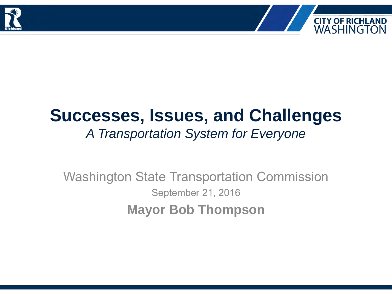



## **Successes, Issues, and Challenges** *A Transportation System for Everyone*

Washington State Transportation Commission September 21, 2016 **Mayor Bob Thompson**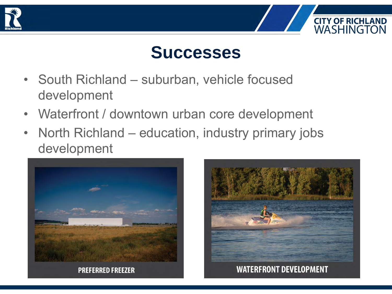



- South Richland suburban, vehicle focused development
- Waterfront / downtown urban core development
- North Richland education, industry primary jobs development



**PREFERRED FREEZER** 



**CITY OF RICHLAND**<br>WASHINGTON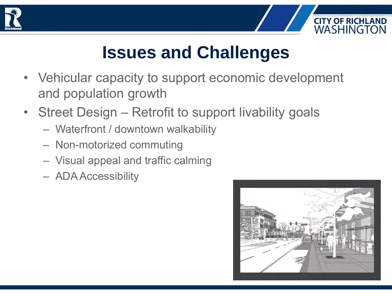



## **Issues and Challenges**

- Vehicular capacity to support economic development and population growth
- Street Design Retrofit to support livability goals
	- Waterfront / downtown walkability
	- Non-motorized commuting
	- Visual appeal and traffic calming
	- ADA Accessibility

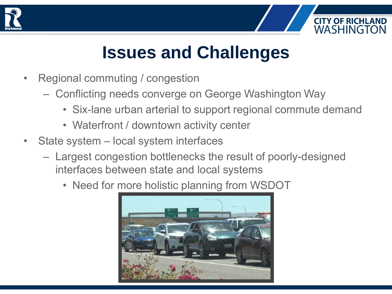



## **Issues and Challenges**

- Regional commuting / congestion
	- Conflicting needs converge on George Washington Way
		- Six-lane urban arterial to support regional commute demand
		- Waterfront / downtown activity center
- State system local system interfaces
	- Largest congestion bottlenecks the result of poorly-designed interfaces between state and local systems
		- Need for more holistic planning from WSDOT